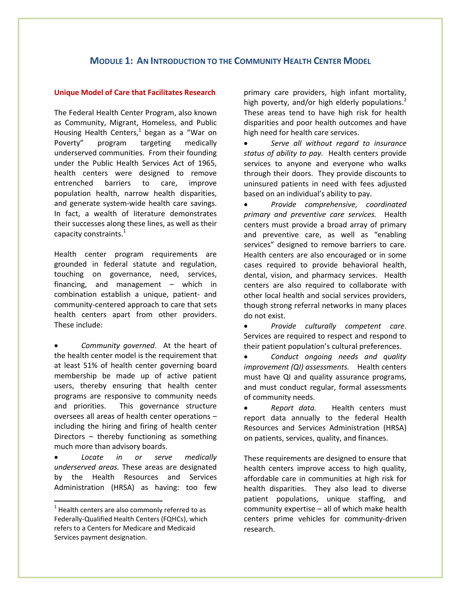# **MODULE 1: AN INTRODUCTION TO THE COMMUNITY HEALTH CENTER MODEL**

## **Unique Model of Care that Facilitates Research**

The Federal Health Center Program, also known as Community, Migrant, Homeless, and Public Housing Health Centers,<sup>1</sup> began as a "War on Poverty" program targeting medically underserved communities. From their founding under the Public Health Services Act of 1965, health centers were designed to remove entrenched barriers to care, improve population health, narrow health disparities, and generate system-wide health care savings. In fact, a wealth of literature demonstrates their successes along these lines, as well as their capacity constraints. $^{1}$ 

Health center program requirements are grounded in federal statute and regulation, touching on governance, need, services, financing, and management – which in combination establish a unique, patient- and community-centered approach to care that sets health centers apart from other providers. These include:

 *Community governed*. At the heart of the health center model is the requirement that at least 51% of health center governing board membership be made up of active patient users, thereby ensuring that health center programs are responsive to community needs and priorities. This governance structure oversees all areas of health center operations – including the hiring and firing of health center Directors – thereby functioning as something much more than advisory boards.

 *Locate in or serve medically underserved areas.* These areas are designated by the Health Resources and Services Administration (HRSA) as having: too few

 $\overline{a}$ 

primary care providers, high infant mortality, high poverty, and/or high elderly populations.<sup>2</sup> These areas tend to have high risk for health disparities and poor health outcomes and have high need for health care services.

 *Serve all without regard to insurance status of ability to pay.* Health centers provide services to anyone and everyone who walks through their doors. They provide discounts to uninsured patients in need with fees adjusted based on an individual's ability to pay.

 *Provide comprehensive, coordinated primary and preventive care services.* Health centers must provide a broad array of primary and preventive care, as well as "enabling services" designed to remove barriers to care. Health centers are also encouraged or in some cases required to provide behavioral health, dental, vision, and pharmacy services. Health centers are also required to collaborate with other local health and social services providers, though strong referral networks in many places do not exist.

 *Provide culturally competent care*. Services are required to respect and respond to their patient population's cultural preferences.

 *Conduct ongoing needs and quality improvement (QI) assessments.* Health centers must have QI and quality assurance programs, and must conduct regular, formal assessments of community needs.

 *Report data.* Health centers must report data annually to the federal Health Resources and Services Administration (HRSA) on patients, services, quality, and finances.

These requirements are designed to ensure that health centers improve access to high quality, affordable care in communities at high risk for health disparities. They also lead to diverse patient populations, unique staffing, and community expertise – all of which make health centers prime vehicles for community-driven research.

 $1$  Health centers are also commonly referred to as Federally-Qualified Health Centers (FQHCs), which refers to a Centers for Medicare and Medicaid Services payment designation.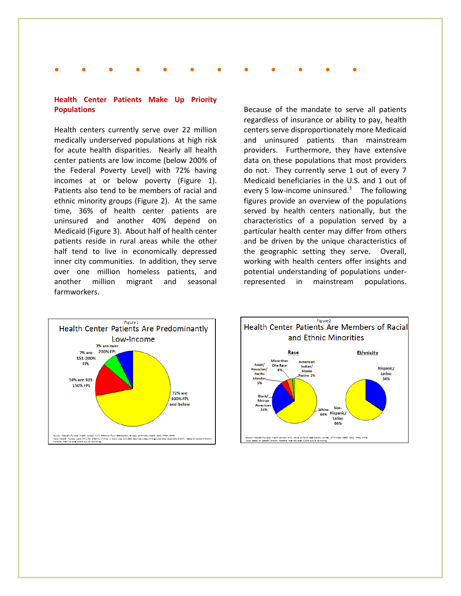# **● ● ● ● ● ● ● ● ● ● ● ●**

## **Health Center Patients Make Up Priority Populations**

Health centers currently serve over 22 million medically underserved populations at high risk for acute health disparities. Nearly all health center patients are low income (below 200% of the Federal Poverty Level) with 72% having incomes at or below poverty (Figure 1). Patients also tend to be members of racial and ethnic minority groups (Figure 2). At the same time, 36% of health center patients are uninsured and another 40% depend on Medicaid (Figure 3). About half of health center patients reside in rural areas while the other half tend to live in economically depressed inner city communities. In addition, they serve over one million homeless patients, and another million migrant and seasonal farmworkers.

Because of the mandate to serve all patients regardless of insurance or ability to pay, health centers serve disproportionately more Medicaid and uninsured patients than mainstream providers. Furthermore, they have extensive data on these populations that most providers do not. They currently serve 1 out of every 7 Medicaid beneficiaries in the U.S. and 1 out of every 5 low-income uninsured. $3$  The following figures provide an overview of the populations served by health centers nationally, but the characteristics of a population served by a particular health center may differ from others and be driven by the unique characteristics of the geographic setting they serve. Overall, working with health centers offer insights and potential understanding of populations underrepresented in mainstream populations.



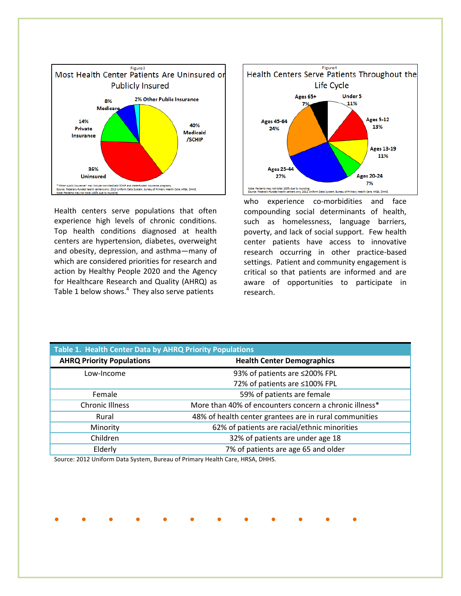

Health centers serve populations that often experience high levels of chronic conditions. Top health conditions diagnosed at health centers are hypertension, diabetes, overweight and obesity, depression, and asthma—many of which are considered priorities for research and action by Healthy People 2020 and the Agency for Healthcare Research and Quality (AHRQ) as Table 1 below shows.<sup>4</sup> They also serve patients



who experience co-morbidities and face compounding social determinants of health, such as homelessness, language barriers, poverty, and lack of social support. Few health center patients have access to innovative research occurring in other practice-based settings. Patient and community engagement is critical so that patients are informed and are aware of opportunities to participate in research.

| <b>Table 1. Health Center Data by AHRQ Priority Populations</b> |                                                        |
|-----------------------------------------------------------------|--------------------------------------------------------|
| <b>AHRQ Priority Populations</b>                                | <b>Health Center Demographics</b>                      |
| Low-Income                                                      | 93% of patients are ≤200% FPL                          |
|                                                                 | 72% of patients are ≤100% FPL                          |
| Female                                                          | 59% of patients are female                             |
| <b>Chronic Illness</b>                                          | More than 40% of encounters concern a chronic illness* |
| Rural                                                           | 48% of health center grantees are in rural communities |
| Minority                                                        | 62% of patients are racial/ethnic minorities           |
| Children                                                        | 32% of patients are under age 18                       |
| Elderly                                                         | 7% of patients are age 65 and older                    |

**● ● ● ● ● ● ● ● ● ● ● ●**

Source: 2012 Uniform Data System, Bureau of Primary Health Care, HRSA, DHHS.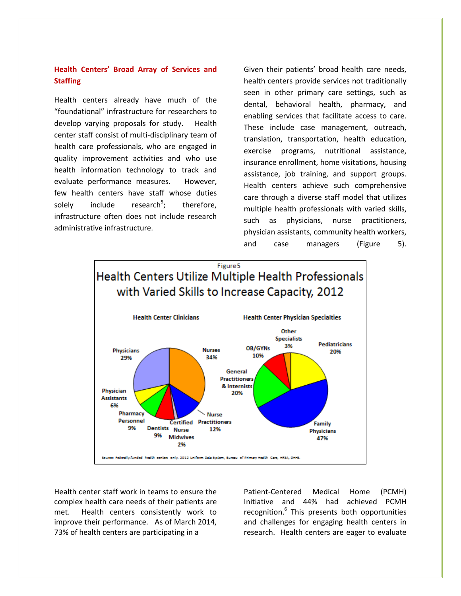# **Health Centers' Broad Array of Services and Staffing**

Health centers already have much of the "foundational" infrastructure for researchers to develop varying proposals for study. Health center staff consist of multi-disciplinary team of health care professionals, who are engaged in quality improvement activities and who use health information technology to track and evaluate performance measures. However, few health centers have staff whose duties solely include research<sup>5</sup>; therefore, infrastructure often does not include research administrative infrastructure.

Given their patients' broad health care needs, health centers provide services not traditionally seen in other primary care settings, such as dental, behavioral health, pharmacy, and enabling services that facilitate access to care. These include case management, outreach, translation, transportation, health education, exercise programs, nutritional assistance, insurance enrollment, home visitations, housing assistance, job training, and support groups. Health centers achieve such comprehensive care through a diverse staff model that utilizes multiple health professionals with varied skills, such as physicians, nurse practitioners, physician assistants, community health workers, and case managers (Figure 5).



Health center staff work in teams to ensure the complex health care needs of their patients are met. Health centers consistently work to improve their performance. As of March 2014, 73% of health centers are participating in a

Patient-Centered Medical Home (PCMH) Initiative and 44% had achieved PCMH recognition.<sup>6</sup> This presents both opportunities and challenges for engaging health centers in research. Health centers are eager to evaluate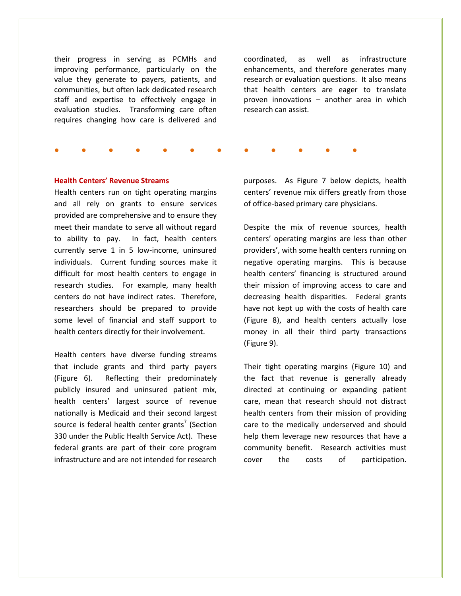their progress in serving as PCMHs and improving performance, particularly on the value they generate to payers, patients, and communities, but often lack dedicated research staff and expertise to effectively engage in evaluation studies. Transforming care often requires changing how care is delivered and

coordinated, as well as infrastructure enhancements, and therefore generates many research or evaluation questions. It also means that health centers are eager to translate proven innovations – another area in which research can assist.

**● ● ● ● ● ● ● ● ● ● ● ●**

#### **Health Centers' Revenue Streams**

Health centers run on tight operating margins and all rely on grants to ensure services provided are comprehensive and to ensure they meet their mandate to serve all without regard to ability to pay. In fact, health centers currently serve 1 in 5 low-income, uninsured individuals. Current funding sources make it difficult for most health centers to engage in research studies. For example, many health centers do not have indirect rates. Therefore, researchers should be prepared to provide some level of financial and staff support to health centers directly for their involvement.

Health centers have diverse funding streams that include grants and third party payers (Figure 6). Reflecting their predominately publicly insured and uninsured patient mix, health centers' largest source of revenue nationally is Medicaid and their second largest source is federal health center grants<sup>7</sup> (Section 330 under the Public Health Service Act). These federal grants are part of their core program infrastructure and are not intended for research

purposes. As Figure 7 below depicts, health centers' revenue mix differs greatly from those of office-based primary care physicians.

Despite the mix of revenue sources, health centers' operating margins are less than other providers', with some health centers running on negative operating margins. This is because health centers' financing is structured around their mission of improving access to care and decreasing health disparities. Federal grants have not kept up with the costs of health care (Figure 8), and health centers actually lose money in all their third party transactions (Figure 9).

Their tight operating margins (Figure 10) and the fact that revenue is generally already directed at continuing or expanding patient care, mean that research should not distract health centers from their mission of providing care to the medically underserved and should help them leverage new resources that have a community benefit. Research activities must cover the costs of participation.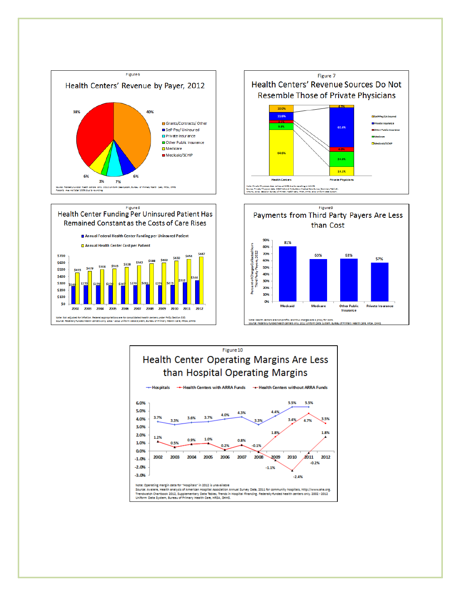







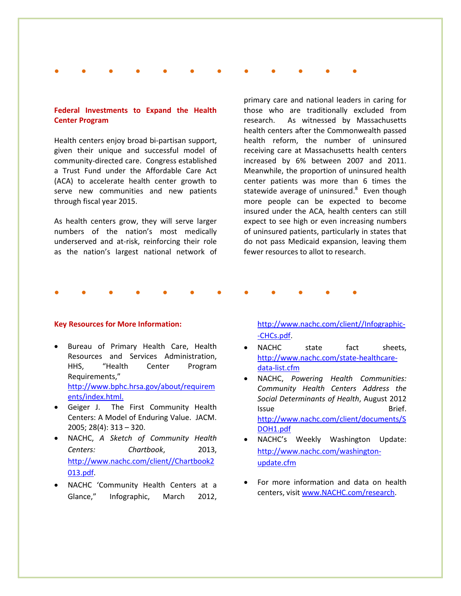## **● ● ● ● ● ● ● ● ● ● ● ●**

## **Federal Investments to Expand the Health Center Program**

Health centers enjoy broad bi-partisan support, given their unique and successful model of community-directed care. Congress established a Trust Fund under the Affordable Care Act (ACA) to accelerate health center growth to serve new communities and new patients through fiscal year 2015.

As health centers grow, they will serve larger numbers of the nation's most medically underserved and at-risk, reinforcing their role as the nation's largest national network of

primary care and national leaders in caring for those who are traditionally excluded from research. As witnessed by Massachusetts health centers after the Commonwealth passed health reform, the number of uninsured receiving care at Massachusetts health centers increased by 6% between 2007 and 2011. Meanwhile, the proportion of uninsured health center patients was more than 6 times the statewide average of uninsured.<sup>8</sup> Even though more people can be expected to become insured under the ACA, health centers can still expect to see high or even increasing numbers of uninsured patients, particularly in states that do not pass Medicaid expansion, leaving them fewer resources to allot to research.

### **● ● ● ● ● ● ● ● ● ● ● ●**

### **Key Resources for More Information:**

- Bureau of Primary Health Care, Health Resources and Services Administration, HHS, "Health Center Program Requirements," [http://www.bphc.hrsa.gov/about/requirem](http://www.bphc.hrsa.gov/about/requirements/index.html) [ents/index.html.](http://www.bphc.hrsa.gov/about/requirements/index.html)
- Geiger J. The First Community Health Centers: A Model of Enduring Value. JACM. 2005; 28(4): 313 – 320.
- NACHC, *A Sketch of Community Health Centers: Chartbook*, 2013, [http://www.nachc.com/client//Chartbook2](http://www.nachc.com/client/Chartbook2013.pdf) [013.pdf.](http://www.nachc.com/client/Chartbook2013.pdf)
- NACHC 'Community Health Centers at a Glance," Infographic, March 2012,

[http://www.nachc.com/client//Infographic-](http://www.nachc.com/client/Infographic--CHCs.pdf) [-CHCs.pdf.](http://www.nachc.com/client/Infographic--CHCs.pdf)

- NACHC state fact sheets, [http://www.nachc.com/state-healthcare](http://www.nachc.com/state-healthcare-data-list.cfm)[data-list.cfm](http://www.nachc.com/state-healthcare-data-list.cfm)
- NACHC, *Powering Health Communities: Community Health Centers Address the Social Determinants of Health*, August 2012 Issue **Brief.** [http://www.nachc.com/client/documents/S](http://www.nachc.com/client/documents/SDOH1.pdf) [DOH1.pdf](http://www.nachc.com/client/documents/SDOH1.pdf)
- NACHC's Weekly Washington Update: [http://www.nachc.com/washington](http://www.nachc.com/washington-update.cfm)[update.cfm](http://www.nachc.com/washington-update.cfm)
- For more information and data on health centers, visit [www.NACHC.com/research.](http://www.nachc.com/research)